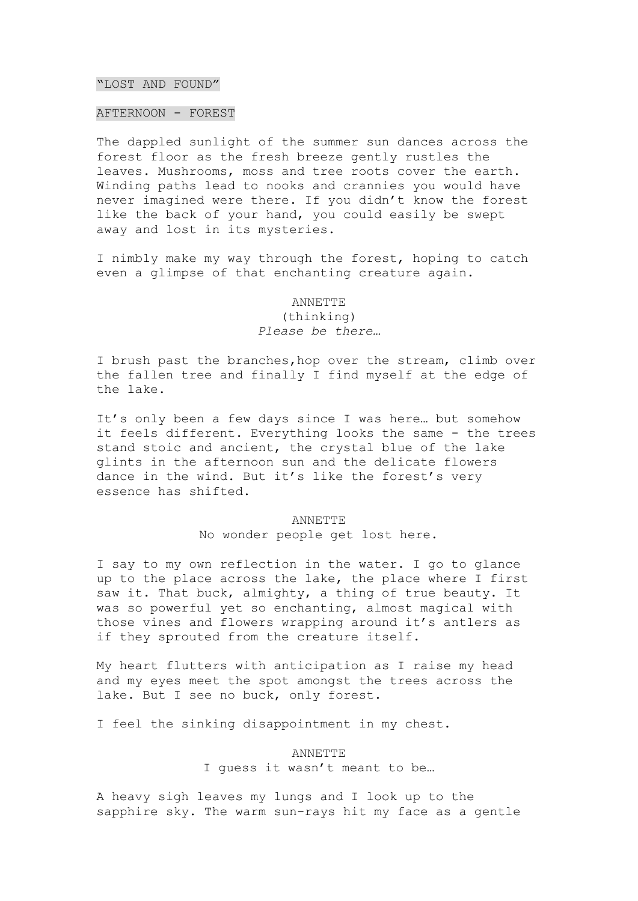### "LOST AND FOUND"

### AFTERNOON - FOREST

The dappled sunlight of the summer sun dances across the forest floor as the fresh breeze gently rustles the leaves. Mushrooms, moss and tree roots cover the earth. Winding paths lead to nooks and crannies you would have never imagined were there. If you didn't know the forest like the back of your hand, you could easily be swept away and lost in its mysteries.

I nimbly make my way through the forest, hoping to catch even a glimpse of that enchanting creature again.

# ANNETTE (thinking) *Please be there…*

I brush past the branches,hop over the stream, climb over the fallen tree and finally I find myself at the edge of the lake.

It's only been a few days since I was here… but somehow it feels different. Everything looks the same - the trees stand stoic and ancient, the crystal blue of the lake glints in the afternoon sun and the delicate flowers dance in the wind. But it's like the forest's very essence has shifted.

#### ANNETTE

No wonder people get lost here.

I say to my own reflection in the water. I go to glance up to the place across the lake, the place where I first saw it. That buck, almighty, a thing of true beauty. It was so powerful yet so enchanting, almost magical with those vines and flowers wrapping around it's antlers as if they sprouted from the creature itself.

My heart flutters with anticipation as I raise my head and my eyes meet the spot amongst the trees across the lake. But I see no buck, only forest.

I feel the sinking disappointment in my chest.

## ANNETTE I guess it wasn't meant to be…

A heavy sigh leaves my lungs and I look up to the sapphire sky. The warm sun-rays hit my face as a gentle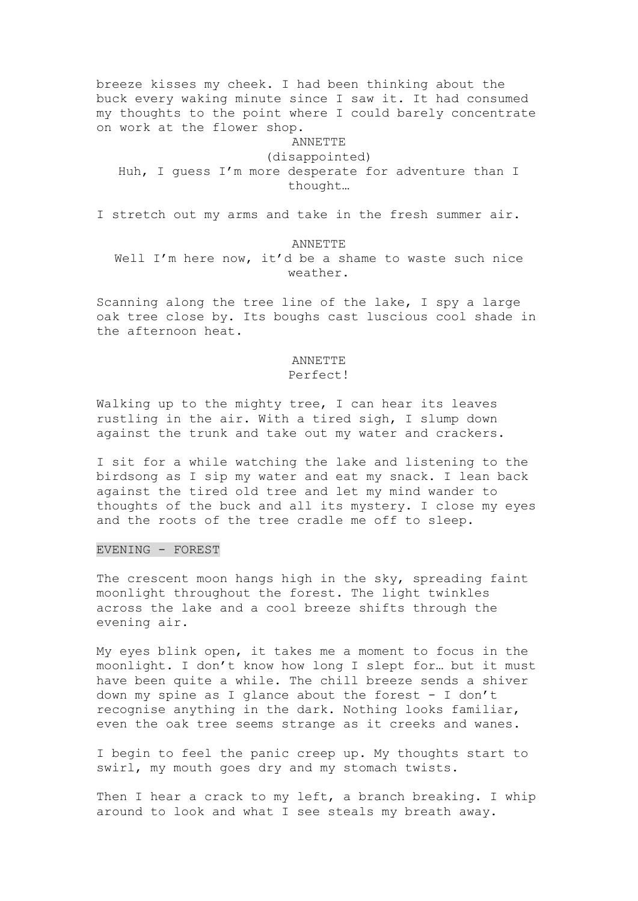breeze kisses my cheek. I had been thinking about the buck every waking minute since I saw it. It had consumed my thoughts to the point where I could barely concentrate on work at the flower shop.

ANNETTE (disappointed) Huh, I guess I'm more desperate for adventure than I thought…

I stretch out my arms and take in the fresh summer air.

#### ANNETTE

Well I'm here now, it'd be a shame to waste such nice weather.

Scanning along the tree line of the lake, I spy a large oak tree close by. Its boughs cast luscious cool shade in the afternoon heat.

### ANNETTE Perfect!

Walking up to the mighty tree, I can hear its leaves rustling in the air. With a tired sigh, I slump down against the trunk and take out my water and crackers.

I sit for a while watching the lake and listening to the birdsong as I sip my water and eat my snack. I lean back against the tired old tree and let my mind wander to thoughts of the buck and all its mystery. I close my eyes and the roots of the tree cradle me off to sleep.

### EVENING - FOREST

The crescent moon hangs high in the sky, spreading faint moonlight throughout the forest. The light twinkles across the lake and a cool breeze shifts through the evening air.

My eyes blink open, it takes me a moment to focus in the moonlight. I don't know how long I slept for… but it must have been quite a while. The chill breeze sends a shiver down my spine as I glance about the forest - I don't recognise anything in the dark. Nothing looks familiar, even the oak tree seems strange as it creeks and wanes.

I begin to feel the panic creep up. My thoughts start to swirl, my mouth goes dry and my stomach twists.

Then I hear a crack to my left, a branch breaking. I whip around to look and what I see steals my breath away.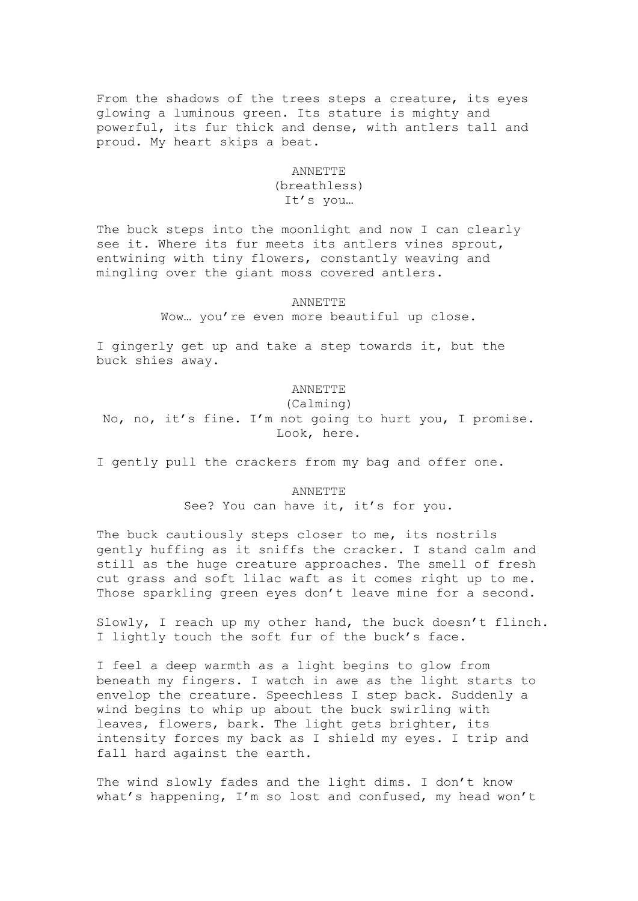From the shadows of the trees steps a creature, its eyes glowing a luminous green. Its stature is mighty and powerful, its fur thick and dense, with antlers tall and proud. My heart skips a beat.

#### ANNETTE

## (breathless) It's you…

The buck steps into the moonlight and now I can clearly see it. Where its fur meets its antlers vines sprout, entwining with tiny flowers, constantly weaving and mingling over the giant moss covered antlers.

#### ANNETTE

Wow… you're even more beautiful up close.

I gingerly get up and take a step towards it, but the buck shies away.

### ANNETTE

(Calming) No, no, it's fine. I'm not going to hurt you, I promise. Look, here.

I gently pull the crackers from my bag and offer one.

### ANNETTE

See? You can have it, it's for you.

The buck cautiously steps closer to me, its nostrils gently huffing as it sniffs the cracker. I stand calm and still as the huge creature approaches. The smell of fresh cut grass and soft lilac waft as it comes right up to me. Those sparkling green eyes don't leave mine for a second.

Slowly, I reach up my other hand, the buck doesn't flinch. I lightly touch the soft fur of the buck's face.

I feel a deep warmth as a light begins to glow from beneath my fingers. I watch in awe as the light starts to envelop the creature. Speechless I step back. Suddenly a wind begins to whip up about the buck swirling with leaves, flowers, bark. The light gets brighter, its intensity forces my back as I shield my eyes. I trip and fall hard against the earth.

The wind slowly fades and the light dims. I don't know what's happening, I'm so lost and confused, my head won't